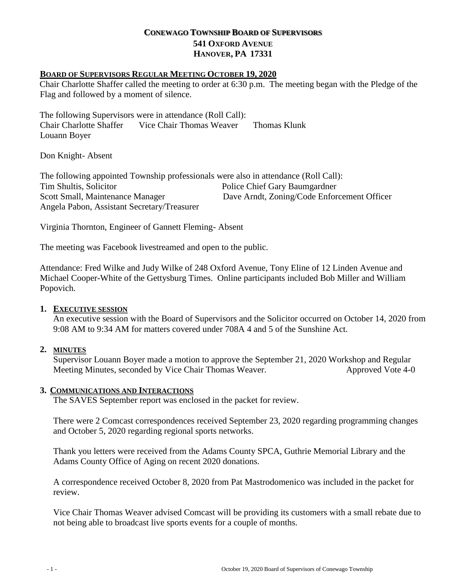# **CONEWAGO TOWNSHIP BOARD OF SUPERVISORS 541 OXFORD AVENUE HANOVER, PA 17331**

# **BOARD OF SUPERVISORS REGULAR MEETING OCTOBER 19, 2020**

Chair Charlotte Shaffer called the meeting to order at 6:30 p.m. The meeting began with the Pledge of the Flag and followed by a moment of silence.

The following Supervisors were in attendance (Roll Call): Chair Charlotte Shaffer Vice Chair Thomas Weaver Thomas Klunk Louann Boyer

Don Knight- Absent

The following appointed Township professionals were also in attendance (Roll Call): Tim Shultis, Solicitor Police Chief Gary Baumgardner Scott Small, Maintenance Manager Dave Arndt, Zoning/Code Enforcement Officer Angela Pabon, Assistant Secretary/Treasurer

Virginia Thornton, Engineer of Gannett Fleming- Absent

The meeting was Facebook livestreamed and open to the public.

Attendance: Fred Wilke and Judy Wilke of 248 Oxford Avenue, Tony Eline of 12 Linden Avenue and Michael Cooper-White of the Gettysburg Times. Online participants included Bob Miller and William Popovich.

# **1. EXECUTIVE SESSION**

An executive session with the Board of Supervisors and the Solicitor occurred on October 14, 2020 from 9:08 AM to 9:34 AM for matters covered under 708A 4 and 5 of the Sunshine Act.

# **2. MINUTES**

Supervisor Louann Boyer made a motion to approve the September 21, 2020 Workshop and Regular Meeting Minutes, seconded by Vice Chair Thomas Weaver. Approved Vote 4-0

# **3. COMMUNICATIONS AND INTERACTIONS**

The SAVES September report was enclosed in the packet for review.

There were 2 Comcast correspondences received September 23, 2020 regarding programming changes and October 5, 2020 regarding regional sports networks.

Thank you letters were received from the Adams County SPCA, Guthrie Memorial Library and the Adams County Office of Aging on recent 2020 donations.

A correspondence received October 8, 2020 from Pat Mastrodomenico was included in the packet for review.

Vice Chair Thomas Weaver advised Comcast will be providing its customers with a small rebate due to not being able to broadcast live sports events for a couple of months.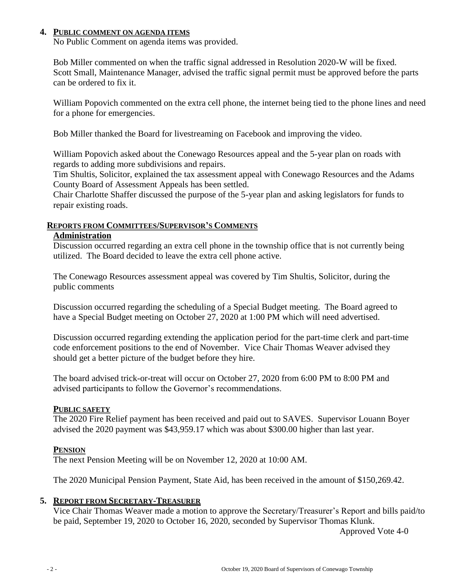# **4. PUBLIC COMMENT ON AGENDA ITEMS**

No Public Comment on agenda items was provided.

Bob Miller commented on when the traffic signal addressed in Resolution 2020-W will be fixed. Scott Small, Maintenance Manager, advised the traffic signal permit must be approved before the parts can be ordered to fix it.

William Popovich commented on the extra cell phone, the internet being tied to the phone lines and need for a phone for emergencies.

Bob Miller thanked the Board for livestreaming on Facebook and improving the video.

William Popovich asked about the Conewago Resources appeal and the 5-year plan on roads with regards to adding more subdivisions and repairs.

Tim Shultis, Solicitor, explained the tax assessment appeal with Conewago Resources and the Adams County Board of Assessment Appeals has been settled.

Chair Charlotte Shaffer discussed the purpose of the 5-year plan and asking legislators for funds to repair existing roads.

# **REPORTS FROM COMMITTEES/SUPERVISOR'S COMMENTS**

# **Administration**

Discussion occurred regarding an extra cell phone in the township office that is not currently being utilized. The Board decided to leave the extra cell phone active.

The Conewago Resources assessment appeal was covered by Tim Shultis, Solicitor, during the public comments

Discussion occurred regarding the scheduling of a Special Budget meeting. The Board agreed to have a Special Budget meeting on October 27, 2020 at 1:00 PM which will need advertised.

Discussion occurred regarding extending the application period for the part-time clerk and part-time code enforcement positions to the end of November. Vice Chair Thomas Weaver advised they should get a better picture of the budget before they hire.

The board advised trick-or-treat will occur on October 27, 2020 from 6:00 PM to 8:00 PM and advised participants to follow the Governor's recommendations.

# **PUBLIC SAFETY**

The 2020 Fire Relief payment has been received and paid out to SAVES. Supervisor Louann Boyer advised the 2020 payment was \$43,959.17 which was about \$300.00 higher than last year.

# **PENSION**

The next Pension Meeting will be on November 12, 2020 at 10:00 AM.

The 2020 Municipal Pension Payment, State Aid, has been received in the amount of \$150,269.42.

# **5. REPORT FROM SECRETARY-TREASURER**

Vice Chair Thomas Weaver made a motion to approve the Secretary/Treasurer's Report and bills paid/to be paid, September 19, 2020 to October 16, 2020, seconded by Supervisor Thomas Klunk.

Approved Vote 4-0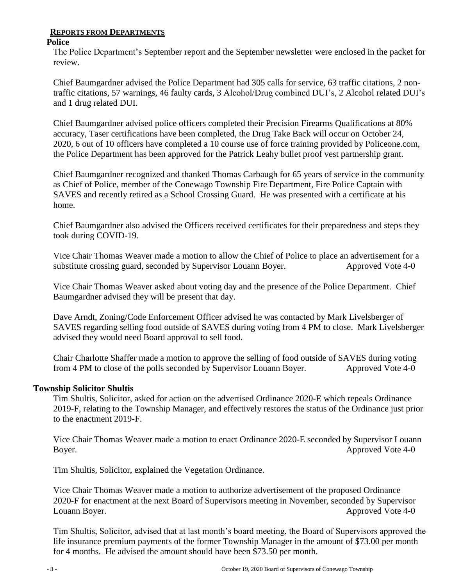# **REPORTS FROM DEPARTMENTS**

### **Police**

The Police Department's September report and the September newsletter were enclosed in the packet for review.

Chief Baumgardner advised the Police Department had 305 calls for service, 63 traffic citations, 2 nontraffic citations, 57 warnings, 46 faulty cards, 3 Alcohol/Drug combined DUI's, 2 Alcohol related DUI's and 1 drug related DUI.

Chief Baumgardner advised police officers completed their Precision Firearms Qualifications at 80% accuracy, Taser certifications have been completed, the Drug Take Back will occur on October 24, 2020, 6 out of 10 officers have completed a 10 course use of force training provided by Policeone.com, the Police Department has been approved for the Patrick Leahy bullet proof vest partnership grant.

Chief Baumgardner recognized and thanked Thomas Carbaugh for 65 years of service in the community as Chief of Police, member of the Conewago Township Fire Department, Fire Police Captain with SAVES and recently retired as a School Crossing Guard. He was presented with a certificate at his home.

Chief Baumgardner also advised the Officers received certificates for their preparedness and steps they took during COVID-19.

Vice Chair Thomas Weaver made a motion to allow the Chief of Police to place an advertisement for a substitute crossing guard, seconded by Supervisor Louann Boyer. Approved Vote 4-0

Vice Chair Thomas Weaver asked about voting day and the presence of the Police Department. Chief Baumgardner advised they will be present that day.

Dave Arndt, Zoning/Code Enforcement Officer advised he was contacted by Mark Livelsberger of SAVES regarding selling food outside of SAVES during voting from 4 PM to close. Mark Livelsberger advised they would need Board approval to sell food.

Chair Charlotte Shaffer made a motion to approve the selling of food outside of SAVES during voting from 4 PM to close of the polls seconded by Supervisor Louann Boyer. Approved Vote 4-0

# **Township Solicitor Shultis**

Tim Shultis, Solicitor, asked for action on the advertised Ordinance 2020-E which repeals Ordinance 2019-F, relating to the Township Manager, and effectively restores the status of the Ordinance just prior to the enactment 2019-F.

Vice Chair Thomas Weaver made a motion to enact Ordinance 2020-E seconded by Supervisor Louann Boyer. Approved Vote 4-0

Tim Shultis, Solicitor, explained the Vegetation Ordinance.

Vice Chair Thomas Weaver made a motion to authorize advertisement of the proposed Ordinance 2020-F for enactment at the next Board of Supervisors meeting in November, seconded by Supervisor Louann Boyer. Approved Vote 4-0

Tim Shultis, Solicitor, advised that at last month's board meeting, the Board of Supervisors approved the life insurance premium payments of the former Township Manager in the amount of \$73.00 per month for 4 months. He advised the amount should have been \$73.50 per month.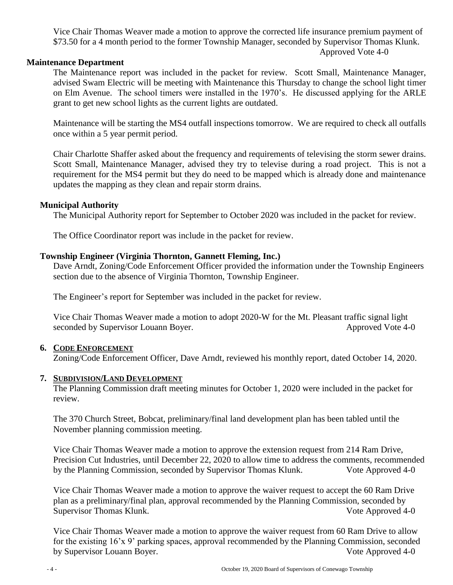Vice Chair Thomas Weaver made a motion to approve the corrected life insurance premium payment of \$73.50 for a 4 month period to the former Township Manager, seconded by Supervisor Thomas Klunk. Approved Vote 4-0

# **Maintenance Department**

The Maintenance report was included in the packet for review. Scott Small, Maintenance Manager, advised Swam Electric will be meeting with Maintenance this Thursday to change the school light timer on Elm Avenue. The school timers were installed in the 1970's. He discussed applying for the ARLE grant to get new school lights as the current lights are outdated.

Maintenance will be starting the MS4 outfall inspections tomorrow. We are required to check all outfalls once within a 5 year permit period.

Chair Charlotte Shaffer asked about the frequency and requirements of televising the storm sewer drains. Scott Small, Maintenance Manager, advised they try to televise during a road project. This is not a requirement for the MS4 permit but they do need to be mapped which is already done and maintenance updates the mapping as they clean and repair storm drains.

#### **Municipal Authority**

The Municipal Authority report for September to October 2020 was included in the packet for review.

The Office Coordinator report was include in the packet for review.

#### **Township Engineer (Virginia Thornton, Gannett Fleming, Inc.)**

Dave Arndt, Zoning/Code Enforcement Officer provided the information under the Township Engineers section due to the absence of Virginia Thornton, Township Engineer.

The Engineer's report for September was included in the packet for review.

Vice Chair Thomas Weaver made a motion to adopt 2020-W for the Mt. Pleasant traffic signal light seconded by Supervisor Louann Boyer. Approved Vote 4-0

#### **6. CODE ENFORCEMENT**

Zoning/Code Enforcement Officer, Dave Arndt, reviewed his monthly report, dated October 14, 2020.

# **7. SUBDIVISION/LAND DEVELOPMENT**

The Planning Commission draft meeting minutes for October 1, 2020 were included in the packet for review.

The 370 Church Street, Bobcat, preliminary/final land development plan has been tabled until the November planning commission meeting.

Vice Chair Thomas Weaver made a motion to approve the extension request from 214 Ram Drive, Precision Cut Industries, until December 22, 2020 to allow time to address the comments, recommended by the Planning Commission, seconded by Supervisor Thomas Klunk. Vote Approved 4-0

Vice Chair Thomas Weaver made a motion to approve the waiver request to accept the 60 Ram Drive plan as a preliminary/final plan, approval recommended by the Planning Commission, seconded by Supervisor Thomas Klunk. Vote Approved 4-0

Vice Chair Thomas Weaver made a motion to approve the waiver request from 60 Ram Drive to allow for the existing 16'x 9' parking spaces, approval recommended by the Planning Commission, seconded by Supervisor Louann Boyer. Vote Approved 4-0